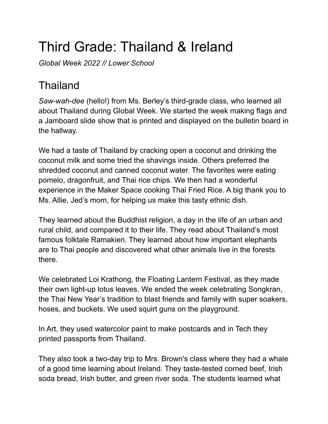## Third Grade: Thailand & Ireland

*Global Week 2022 // Lower School*

## Thailand

*Saw-wah-dee* (hello!) from Ms. Berley's third-grade class, who learned all about Thailand during Global Week. We started the week making flags and a Jamboard slide show that is printed and displayed on the bulletin board in the hallway.

We had a taste of Thailand by cracking open a coconut and drinking the coconut milk and some tried the shavings inside. Others preferred the shredded coconut and canned coconut water. The favorites were eating pomelo, dragonfruit, and Thai rice chips. We then had a wonderful experience in the Maker Space cooking Thai Fried Rice. A big thank you to Ms. Allie, Jed's mom, for helping us make this tasty ethnic dish.

They learned about the Buddhist religion, a day in the life of an urban and rural child, and compared it to their life. They read about Thailand's most famous folktale Ramakien. They learned about how important elephants are to Thai people and discovered what other animals live in the forests there.

We celebrated Loi Krathong, the Floating Lantern Festival, as they made their own light-up lotus leaves. We ended the week celebrating Songkran, the Thai New Year's tradition to blast friends and family with super soakers, hoses, and buckets. We used squirt guns on the playground.

In Art, they used watercolor paint to make postcards and in Tech they printed passports from Thailand.

They also took a two-day trip to Mrs. Brown's class where they had a whale of a good time learning about Ireland. They taste-tested corned beef, Irish soda bread, Irish butter, and green river soda. The students learned what